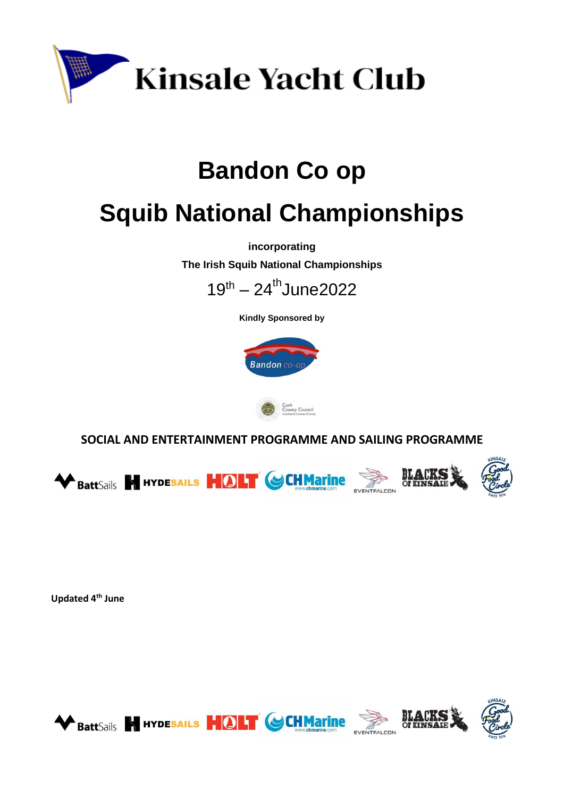

# **Bandon Co op**

# **Squib National Championships**

**incorporating**

**The Irish Squib National Championships**



**Kindly Sponsored by**





 **SOCIAL AND ENTERTAINMENT PROGRAMME AND SAILING PROGRAMME**





**Updated 4th June**

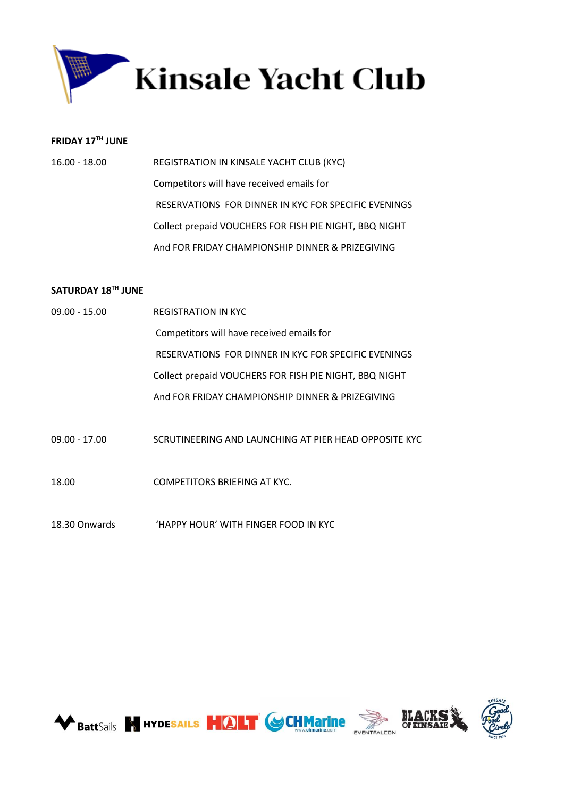

# **FRIDAY 17 TH JUNE**

| 16.00 - 18.00 | REGISTRATION IN KINSALE YACHT CLUB (KYC)               |
|---------------|--------------------------------------------------------|
|               | Competitors will have received emails for              |
|               | RESERVATIONS FOR DINNER IN KYC FOR SPECIFIC EVENINGS   |
|               | Collect prepaid VOUCHERS FOR FISH PIE NIGHT, BBQ NIGHT |
|               | And FOR FRIDAY CHAMPIONSHIP DINNER & PRIZEGIVING       |

# **SATURDAY 18 TH JUNE**

| $09.00 - 15.00$ | <b>REGISTRATION IN KYC</b>                             |
|-----------------|--------------------------------------------------------|
|                 | Competitors will have received emails for              |
|                 | RESERVATIONS FOR DINNER IN KYC FOR SPECIFIC EVENINGS   |
|                 | Collect prepaid VOUCHERS FOR FISH PIE NIGHT, BBQ NIGHT |
|                 | And FOR FRIDAY CHAMPIONSHIP DINNER & PRIZEGIVING       |
|                 |                                                        |
| $09.00 - 17.00$ | SCRUTINEERING AND LAUNCHING AT PIER HEAD OPPOSITE KYC  |
|                 |                                                        |
| 18.00           | COMPETITORS BRIEFING AT KYC.                           |
|                 |                                                        |

18.30 Onwards 'HAPPY HOUR' WITH FINGER FOOD IN KYC

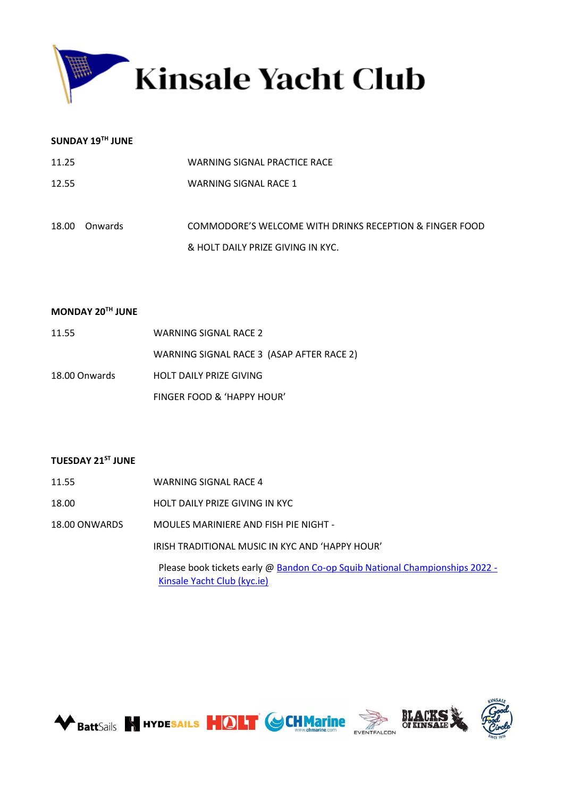

#### **SUNDAY 19TH JUNE**

| 11.25 |         | WARNING SIGNAL PRACTICE RACE                            |
|-------|---------|---------------------------------------------------------|
| 12.55 |         | WARNING SIGNAL RACE 1                                   |
|       |         |                                                         |
| 18.00 | Onwards | COMMODORE'S WELCOME WITH DRINKS RECEPTION & FINGER FOOD |
|       |         | & HOLT DAILY PRIZE GIVING IN KYC.                       |

#### **MONDAY 20TH JUNE**

| 11.55         | WARNING SIGNAL RACE 2                     |
|---------------|-------------------------------------------|
|               | WARNING SIGNAL RACE 3 (ASAP AFTER RACE 2) |
| 18.00 Onwards | HOLT DAILY PRIZE GIVING                   |
|               | FINGER FOOD & 'HAPPY HOUR'                |

## **TUESDAY 21ST JUNE**

- 11.55 WARNING SIGNAL RACE 4
- 18.00 HOLT DAILY PRIZE GIVING IN KYC
- 18.00 ONWARDS MOULES MARINIERE AND FISH PIE NIGHT -

IRISH TRADITIONAL MUSIC IN KYC AND 'HAPPY HOUR'

Please book tickets early @ [Bandon Co-op Squib National Championships 2022 -](https://www.kyc.ie/squibnationals2022/) [Kinsale Yacht Club \(kyc.ie\)](https://www.kyc.ie/squibnationals2022/)







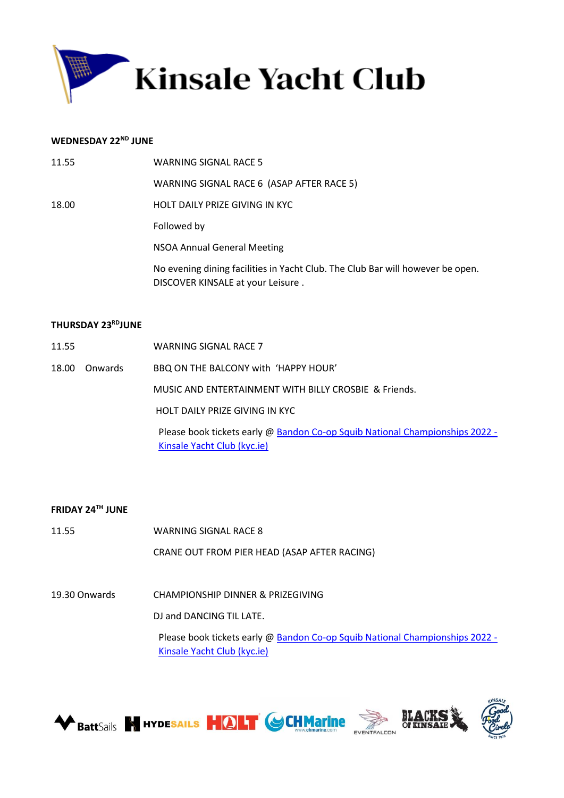

#### **WEDNESDAY 22ND JUNE**

| 11.55 | WARNING SIGNAL RACE 5                                                                                               |
|-------|---------------------------------------------------------------------------------------------------------------------|
|       | WARNING SIGNAL RACE 6 (ASAP AFTER RACE 5)                                                                           |
| 18.00 | HOLT DAILY PRIZE GIVING IN KYC                                                                                      |
|       | Followed by                                                                                                         |
|       | NSOA Annual General Meeting                                                                                         |
|       | No evening dining facilities in Yacht Club. The Club Bar will however be open.<br>DISCOVER KINSALE at your Leisure. |

#### **THURSDAY 23 RDJUNE**

- 11.55 WARNING SIGNAL RACE 7
- 18.00 Onwards BBQ ON THE BALCONY with 'HAPPY HOUR'

MUSIC AND ENTERTAINMENT WITH BILLY CROSBIE & Friends.

HOLT DAILY PRIZE GIVING IN KYC

Please book tickets early @ [Bandon Co-op Squib National Championships 2022 -](https://www.kyc.ie/squibnationals2022/) [Kinsale Yacht Club \(kyc.ie\)](https://www.kyc.ie/squibnationals2022/)

#### **FRIDAY 24TH JUNE**

11.55 WARNING SIGNAL RACE 8 CRANE OUT FROM PIER HEAD (ASAP AFTER RACING)

19.30 Onwards CHAMPIONSHIP DINNER & PRIZEGIVING

DJ and DANCING TIL LATE.

Please book tickets early @ [Bandon Co-op Squib National Championships 2022 -](https://www.kyc.ie/squibnationals2022/) [Kinsale Yacht Club \(kyc.ie\)](https://www.kyc.ie/squibnationals2022/)